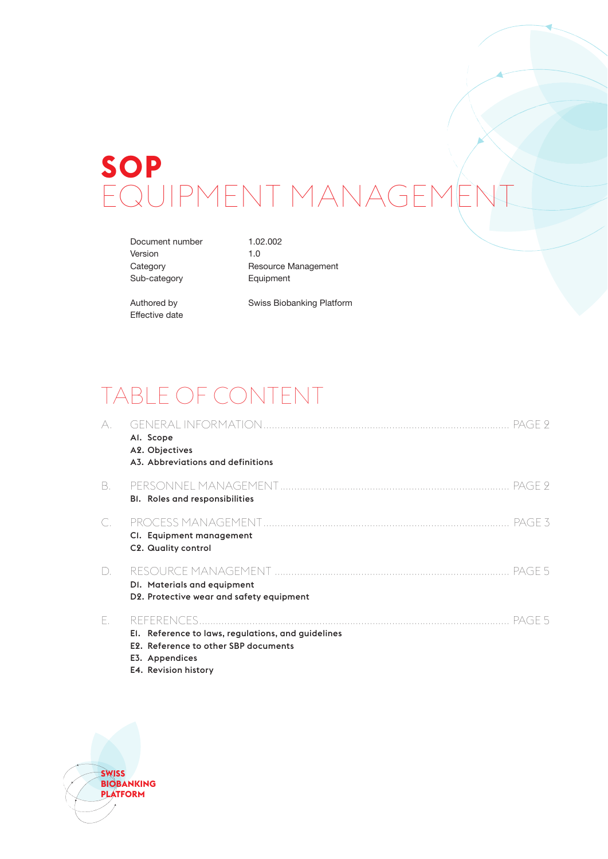# **SOP** EQUIPMENT MANAGEMENT

Document number 1.02.002 Version 1.0

Category Resource Management Sub-category Equipment

Effective date

Authored by Swiss Biobanking Platform

# TABLE OF CONTENT

| А. | Al. Scope<br>A2. Objectives<br>A3. Abbreviations and definitions                                                                     | PAGF 9 |
|----|--------------------------------------------------------------------------------------------------------------------------------------|--------|
| В. | <b>BI.</b> Roles and responsibilities                                                                                                | PAGE 9 |
| С. | CI. Equipment management<br>C2. Quality control                                                                                      | PAGE 3 |
| D. | DI. Materials and equipment<br>D2. Protective wear and safety equipment                                                              | PAGE 5 |
| Ε. | El. Reference to laws, regulations, and guidelines<br>E2. Reference to other SBP documents<br>E3. Appendices<br>E4. Revision history | PAGE 5 |

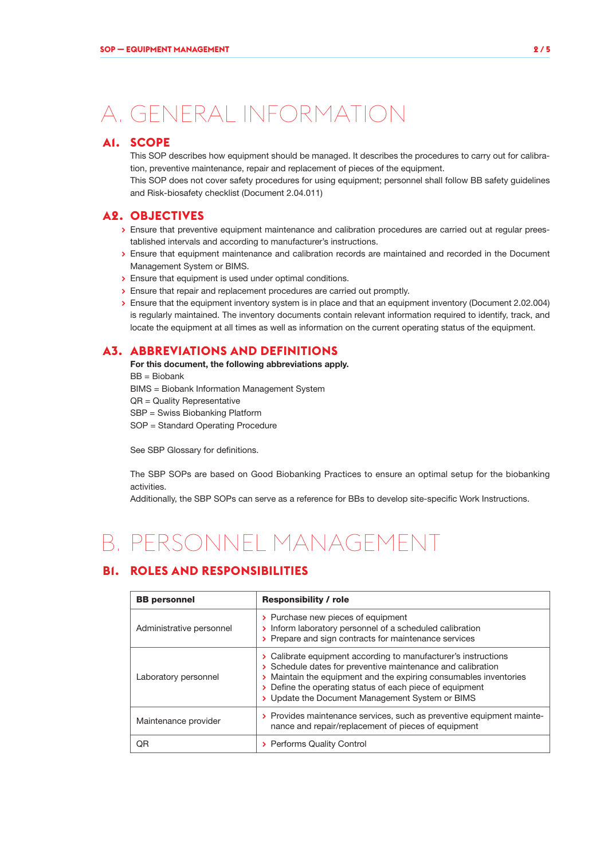# A. GENERAL INFORMATION

### **A1. SCOPE**

This SOP describes how equipment should be managed. It describes the procedures to carry out for calibration, preventive maintenance, repair and replacement of pieces of the equipment.

This SOP does not cover safety procedures for using equipment; personnel shall follow BB safety guidelines and Risk-biosafety checklist (Document 2.04.011)

## **A2. OBJECTIVES**

- **>** Ensure that preventive equipment maintenance and calibration procedures are carried out at regular preestablished intervals and according to manufacturer's instructions.
- **>** Ensure that equipment maintenance and calibration records are maintained and recorded in the Document Management System or BIMS.
- **>** Ensure that equipment is used under optimal conditions.
- **>** Ensure that repair and replacement procedures are carried out promptly.
- **>** Ensure that the equipment inventory system is in place and that an equipment inventory (Document 2.02.004) is regularly maintained. The inventory documents contain relevant information required to identify, track, and locate the equipment at all times as well as information on the current operating status of the equipment.

### **A3. ABBREVIATIONS AND DEFINITIONS**

For this document, the following abbreviations apply. BB = Biobank BIMS = Biobank Information Management System QR = Quality Representative SBP = Swiss Biobanking Platform SOP = Standard Operating Procedure See SBP Glossary for definitions.

The SBP SOPs are based on Good Biobanking Practices to ensure an optimal setup for the biobanking activities.

Additionally, the SBP SOPs can serve as a reference for BBs to develop site-specific Work Instructions.

# B. PERSONNEL MANAGEMENT

# **B1. ROLES AND RESPONSIBILITIES**

| <b>BB</b> personnel      | <b>Responsibility / role</b>                                                                                                                                                                                                                                                                                      |  |  |
|--------------------------|-------------------------------------------------------------------------------------------------------------------------------------------------------------------------------------------------------------------------------------------------------------------------------------------------------------------|--|--|
| Administrative personnel | > Purchase new pieces of equipment<br>> Inform laboratory personnel of a scheduled calibration<br>> Prepare and sign contracts for maintenance services                                                                                                                                                           |  |  |
| Laboratory personnel     | > Calibrate equipment according to manufacturer's instructions<br>> Schedule dates for preventive maintenance and calibration<br>> Maintain the equipment and the expiring consumables inventories<br>> Define the operating status of each piece of equipment<br>> Update the Document Management System or BIMS |  |  |
| Maintenance provider     | > Provides maintenance services, such as preventive equipment mainte-<br>nance and repair/replacement of pieces of equipment                                                                                                                                                                                      |  |  |
| ΟR                       | > Performs Quality Control                                                                                                                                                                                                                                                                                        |  |  |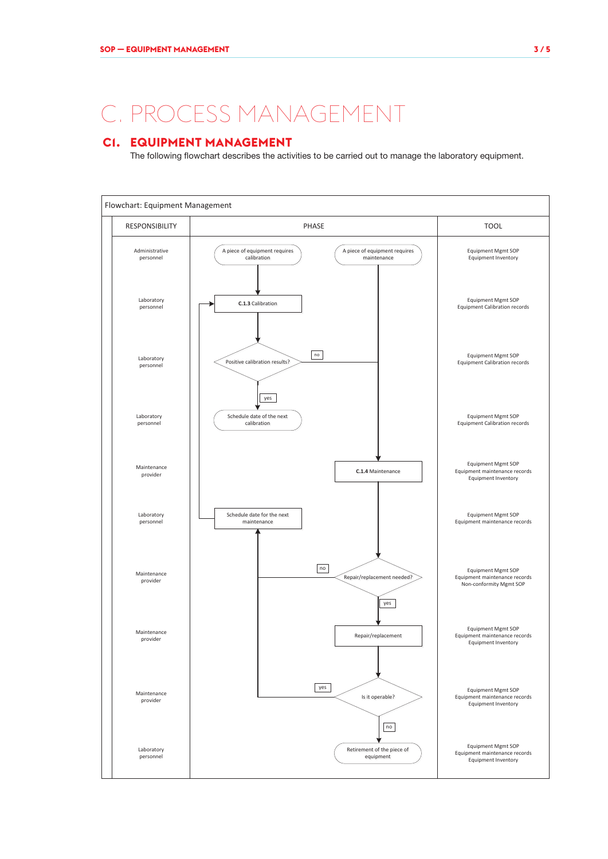# C. PROCESS MANAGEMENT

# **C1. EQUIPMENT MANAGEMENT**

The following flowchart describes the activities to be carried out to manage the laboratory equipment.

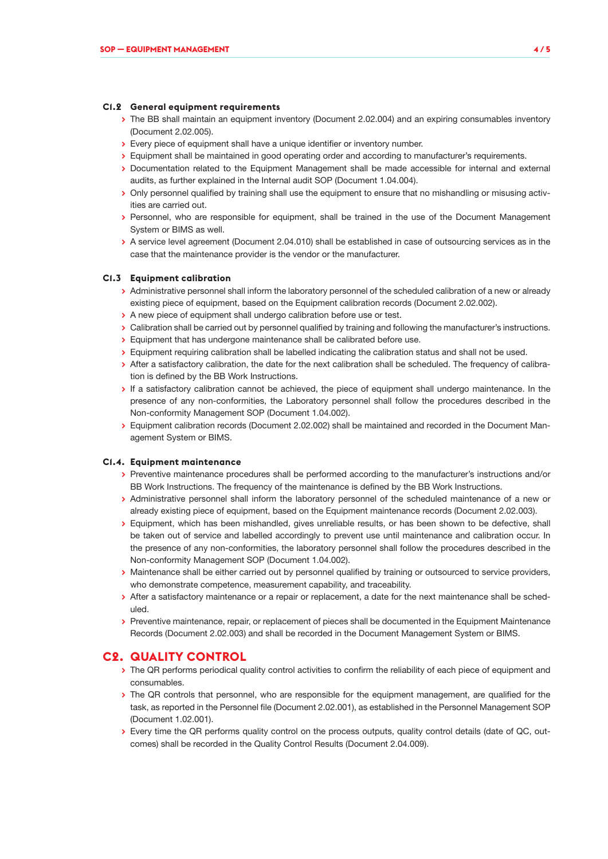#### **C1.2 General equipment requirements**

- **>** The BB shall maintain an equipment inventory (Document 2.02.004) and an expiring consumables inventory (Document 2.02.005).
- **>** Every piece of equipment shall have a unique identifier or inventory number.
- **>** Equipment shall be maintained in good operating order and according to manufacturer's requirements.
- **>** Documentation related to the Equipment Management shall be made accessible for internal and external audits, as further explained in the Internal audit SOP (Document 1.04.004).
- **>** Only personnel qualified by training shall use the equipment to ensure that no mishandling or misusing activities are carried out.
- **>** Personnel, who are responsible for equipment, shall be trained in the use of the Document Management System or BIMS as well.
- **>** A service level agreement (Document 2.04.010) shall be established in case of outsourcing services as in the case that the maintenance provider is the vendor or the manufacturer.

#### **C1.3 Equipment calibration**

- **>** Administrative personnel shall inform the laboratory personnel of the scheduled calibration of a new or already existing piece of equipment, based on the Equipment calibration records (Document 2.02.002).
- **>** A new piece of equipment shall undergo calibration before use or test.
- **>** Calibration shall be carried out by personnel qualified by training and following the manufacturer's instructions.
- **>** Equipment that has undergone maintenance shall be calibrated before use.
- **>** Equipment requiring calibration shall be labelled indicating the calibration status and shall not be used.
- **>** After a satisfactory calibration, the date for the next calibration shall be scheduled. The frequency of calibration is defined by the BB Work Instructions.
- **>** If a satisfactory calibration cannot be achieved, the piece of equipment shall undergo maintenance. In the presence of any non-conformities, the Laboratory personnel shall follow the procedures described in the Non-conformity Management SOP (Document 1.04.002).
- **>** Equipment calibration records (Document 2.02.002) shall be maintained and recorded in the Document Management System or BIMS.

#### **C1.4. Equipment maintenance**

- **>** Preventive maintenance procedures shall be performed according to the manufacturer's instructions and/or BB Work Instructions. The frequency of the maintenance is defined by the BB Work Instructions.
- **>** Administrative personnel shall inform the laboratory personnel of the scheduled maintenance of a new or already existing piece of equipment, based on the Equipment maintenance records (Document 2.02.003).
- **>** Equipment, which has been mishandled, gives unreliable results, or has been shown to be defective, shall be taken out of service and labelled accordingly to prevent use until maintenance and calibration occur. In the presence of any non-conformities, the laboratory personnel shall follow the procedures described in the Non-conformity Management SOP (Document 1.04.002).
- **>** Maintenance shall be either carried out by personnel qualified by training or outsourced to service providers, who demonstrate competence, measurement capability, and traceability.
- **>** After a satisfactory maintenance or a repair or replacement, a date for the next maintenance shall be scheduled.
- **>** Preventive maintenance, repair, or replacement of pieces shall be documented in the Equipment Maintenance Records (Document 2.02.003) and shall be recorded in the Document Management System or BIMS.

### **C2. QUALITY CONTROL**

- **>** The QR performs periodical quality control activities to confirm the reliability of each piece of equipment and consumables.
- **>** The QR controls that personnel, who are responsible for the equipment management, are qualified for the task, as reported in the Personnel file (Document 2.02.001), as established in the Personnel Management SOP (Document 1.02.001).
- **>** Every time the QR performs quality control on the process outputs, quality control details (date of QC, outcomes) shall be recorded in the Quality Control Results (Document 2.04.009).